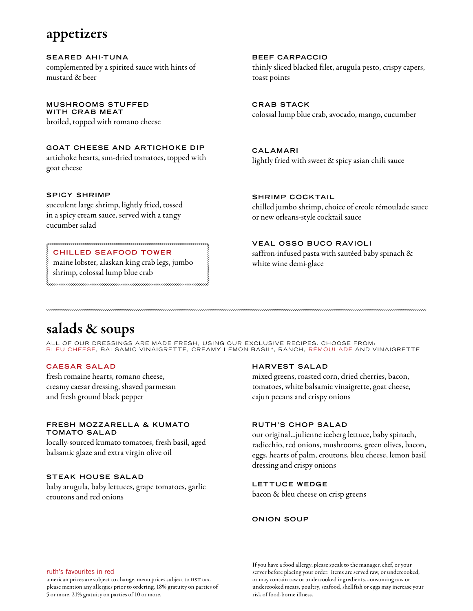### appetizers

**SEARED AHI-TUNA** complemented by a spirited sauce with hints of mustard & beer

**MUSHROOMS STUFFED WITH CRAB MEAT** broiled, topped with romano cheese

**GOAT CHEESE AND ARTICHOKE DIP** artichoke hearts, sun-dried tomatoes, topped with goat cheese

#### **SPICY SHRIMP**

succulent large shrimp, lightly fried, tossed in a spicy cream sauce, served with a tangy cucumber salad

#### **CHILLED SEAFOOD TOWER**

 maine lobster, alaskan king crab legs, jumbo shrimp, colossal lump blue crab

**BEEF CARPACCIO** thinly sliced blacked filet, arugula pesto, crispy capers, toast points

**CRAB STACK** colossal lump blue crab, avocado, mango, cucumber

**CALAMARI** lightly fried with sweet & spicy asian chili sauce

**SHRIMP COCKTAIL** chilled jumbo shrimp, choice of creole rémoulade sauce or new orleans-style cocktail sauce

#### **VEAL OSSO BUCO RAVIOLI**

saffron-infused pasta with sautéed baby spinach & white wine demi-glace

# salads & soups

ALL OF OUR DRESSINGS ARE MADE FRESH, USING OUR EXCLUSIVE RECIPES. CHOOSE FROM:<br>BLEU CHEESE, BALSAMIC VINAIGRETTE, CREAMY LEMON BASIL\*, RANCH, RÉMOULADE AND VINAIGRETTE

#### **CAESAR SALAD**

fresh romaine hearts, romano cheese, creamy caesar dressing, shaved parmesan and fresh ground black pepper

#### **FRESH MOZ Z ARE LL A & KUMATO TOMATO SALAD**

locally-sourced kumato tomatoes, fresh basil, aged balsamic glaze and extra virgin olive oil

#### **STEAK HOUSE SALAD**

baby arugula, baby lettuces, grape tomatoes, garlic croutons and red onions

#### **HARVEST SALAD**

mixed greens, roasted corn, dried cherries, bacon, tomatoes, white balsamic vinaigrette, goat cheese, cajun pecans and crispy onions

#### **RUTH'S CHOP SALAD**

our original...julienne iceberg lettuce, baby spinach, radicchio, red onions, mushrooms, green olives, bacon, eggs, hearts of palm, croutons, bleu cheese, lemon basil dressing and crispy onions

#### **LETTUCE WEDGE**

bacon & bleu cheese on crisp greens

#### **ONION SOUP**

#### ruth's favourites in red

american prices are subject to change. menu prices subject to HST tax. please mention any allergies prior to ordering. 18% gratuity on parties of 5 or more. 21% gratuity on parties of 10 or more.

If you have a food allergy, please speak to the manager, chef, or your server before placing your order. items are served raw, or undercooked, or may contain raw or undercooked ingredients. consuming raw or undercooked meats, poultry, seafood, shellfish or eggs may increase your risk of food-borne illness.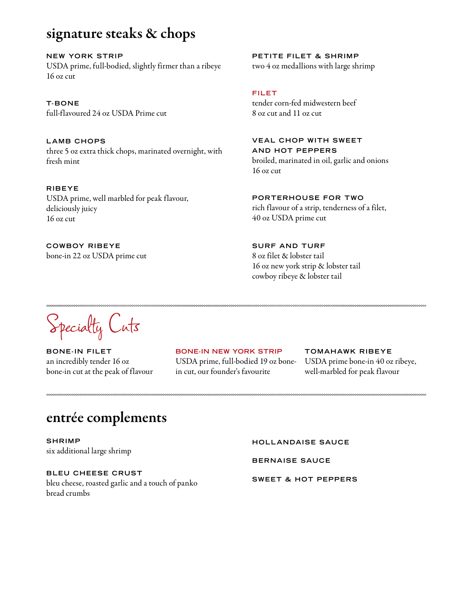## signature steaks & chops

**NEW YORK STRIP** USDA prime, full-bodied, slightly firmer than a ribeye 16 oz cut

**T-BONE** full-flavoured 24 oz USDA Prime cut

**LAMB CHOPS** three 5 oz extra thick chops, marinated overnight, with fresh mint

**RIBEYE** USDA prime, well marbled for peak flavour, deliciously juicy 16 oz cut

**COWBOY RIBEYE** bone-in 22 oz USDA prime cut **PETITE FILET & SHRIMP** two 4 oz medallions with large shrimp

### **FILET**

tender corn-fed midwestern beef 8 oz cut and 11 oz cut

**VEAL CHOP WITH SWEET AND HOT PEPPERS** broiled, marinated in oil, garlic and onions 16 oz cut

**PORTERHOUSE FOR TWO** rich flavour of a strip, tenderness of a filet, 40 oz USDA prime cut

**SURF AND TURF** 8 oz filet & lobster tail 16 oz new york strip & lobster tail cowboy ribeye & lobster tail

Specialty Cuts

**BONE-IN FILET** an incredibly tender 16 oz bone-in cut at the peak of flavour

**BONE-IN NEW YORK STRIP** USDA prime, full-bodied 19 oz bonein cut, our founder's favourite

**TOMAHAWK RIBEYE** USDA prime bone-in 40 oz ribeye, well-marbled for peak flavour

# entrée complements

**SHRIMP** six additional large shrimp

**BLEU CHEESE CRUST** bleu cheese, roasted garlic and a touch of panko bread crumbs

**HOLLANDAISE SAUCE**

**BERNAISE SAUCE**

**SWEET & HOT PEPPERS**